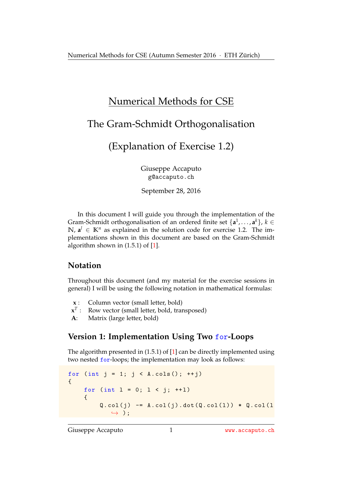# Numerical Methods for CSE

## The Gram-Schmidt Orthogonalisation

(Explanation of Exercise 1.2)

Giuseppe Accaputo g@accaputo.ch

September 28, 2016

In this document I will guide you through the implementation of the Gram-Schmidt orthogonalisation of an ordered finite set  $\{a^1, \ldots, a^k\}$ ,  $k \in$ **N**,  $a^l$  ∈ **K**<sup>*n*</sup> as explained in the solution code for exercise 1.2. The implementations shown in this document are based on the Gram-Schmidt algorithm shown in (1.5.1) of [\[1\]](#page-3-0).

## **Notation**

Throughout this document (and my material for the exercise sessions in general) I will be using the following notation in mathematical formulas:

- **x** : Column vector (small letter, bold)
- $\mathbf{x}^T$  : Row vector (small letter, bold, transposed)
- **A**: Matrix (large letter, bold)

### **Version 1: Implementation Using Two** for**-Loops**

The algorithm presented in (1.5.1) of [\[1\]](#page-3-0) can be directly implemented using two nested for-loops; the implementation may look as follows:

```
for (int j = 1; j < A.\cosh(); ++j)
{
    for (int l = 0; l < j; ++1){
         Q.col(j) -= A.col(j).dot(Q.col(1)) * Q.col(1)\leftrightarrow ) ;
```
Giuseppe Accaputo 1 WWW.accaputo.ch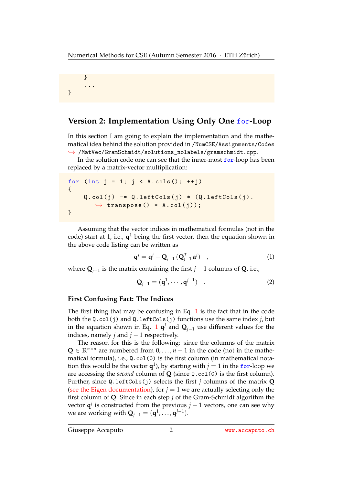```
}
       ...
}
```
### **Version 2: Implementation Using Only One** for**-Loop**

In this section I am going to explain the implementation and the mathematical idea behind the solution provided in /NumCSE/Assignments/Codes ,→ /MatVec/GramSchmidt/solutions\_nolabels/gramschmidt.cpp.

In the solution code one can see that the inner-most for-loop has been replaced by a matrix-vector multiplication:

```
for (int j = 1; j < A.\cosh(); ++j){
     Q.\text{col}(j) -= Q.\text{leftCols}(j) * (Q.\text{leftCols}(j).
         \rightarrow transpose () * A.col(j));
}
```
Assuming that the vector indices in mathematical formulas (not in the code) start at 1, i.e., **q** <sup>1</sup> being the first vector, then the equation shown in the above code listing can be written as

<span id="page-1-0"></span>
$$
\mathbf{q}^{j} = \mathbf{q}^{j} - \mathbf{Q}_{j-1} \left( \mathbf{Q}_{j-1}^{T} \mathbf{a}^{j} \right) , \qquad (1)
$$

where **Q***j*−<sup>1</sup> is the matrix containing the first *j* − 1 columns of **Q**, i.e.,

<span id="page-1-1"></span>
$$
\mathbf{Q}_{j-1} = (\mathbf{q}^1, \cdots, \mathbf{q}^{j-1}) \quad . \tag{2}
$$

#### **First Confusing Fact: The Indices**

The first thing that may be confusing in Eq. [1](#page-1-0) is the fact that in the code both the Q.col(j) and Q.leftCols(j) functions use the same index *j*, but in the equation shown in Eq. [1](#page-1-0)  $\mathbf{q}^j$  and  $\mathbf{Q}_{j-1}$  use different values for the indices, namely *j* and  $j - 1$  respectively.

The reason for this is the following: since the columns of the matrix **Q** ∈  $\mathbb{R}^{n \times n}$  are numbered from 0, . . . , *n* − 1 in the code (not in the mathematical formula), i.e., Q.col(0) is the first column (in mathematical notation this would be the vector  $q^1$ ), by starting with  $j = 1$  in the for-loop we are accessing the *second* column of **Q** (since Q.col(0) is the first column). Further, since Q.leftCols(j) selects the first *j* columns of the matrix **Q** [\(see the Eigen documentation\)](https://eigen.tuxfamily.org/dox/group__TutorialBlockOperations.html), for  $j = 1$  we are actually selecting only the first column of **Q**. Since in each step *j* of the Gram-Schmidt algorithm the vector  $\mathbf{q}^j$  is constructed from the previous  $j-1$  vectors, one can see why we are working with  $\mathbf{Q}_{j-1} = (\mathbf{q}^1, \dots, \mathbf{q}^{j-1}).$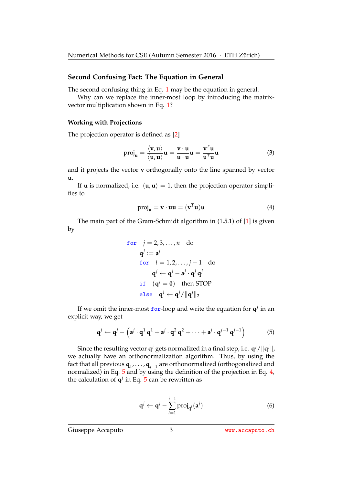#### **Second Confusing Fact: The Equation in General**

The second confusing thing in Eq. [1](#page-1-0) may be the equation in general.

Why can we replace the inner-most loop by introducing the matrixvector multiplication shown in Eq. [1?](#page-1-0)

#### **Working with Projections**

The projection operator is defined as [\[2\]](#page-4-0)

$$
\text{proj}_{\mathbf{u}} = \frac{\langle \mathbf{v}, \mathbf{u} \rangle}{\langle \mathbf{u}, \mathbf{u} \rangle} \mathbf{u} = \frac{\mathbf{v} \cdot \mathbf{u}}{\mathbf{u} \cdot \mathbf{u}} \mathbf{u} = \frac{\mathbf{v}^T \mathbf{u}}{\mathbf{u}^T \mathbf{u}} \mathbf{u}
$$
(3)

and it projects the vector **v** orthogonally onto the line spanned by vector **u**.

If **u** is normalized, i.e.  $\langle \mathbf{u}, \mathbf{u} \rangle = 1$ , then the projection operator simplifies to

<span id="page-2-1"></span>
$$
\text{proj}_{\mathbf{u}} = \mathbf{v} \cdot \mathbf{u}\mathbf{u} = (\mathbf{v}^T \mathbf{u})\mathbf{u}
$$
 (4)

The main part of the Gram-Schmidt algorithm in (1.5.1) of [\[1\]](#page-3-0) is given by

for 
$$
j = 2, 3, ..., n
$$
 do  
\n $\mathbf{q}^j := \mathbf{a}^j$   
\nfor  $l = 1, 2, ..., j - 1$  do  
\n $\mathbf{q}^j \leftarrow \mathbf{q}^j - \mathbf{a}^j \cdot \mathbf{q}^j \mathbf{q}^j$   
\nif  $(\mathbf{q}^j = \mathbf{0})$  then STOP  
\nelse  $\mathbf{q}^j \leftarrow \mathbf{q}^j / \|\mathbf{q}^j\|_2$ 

If we omit the inner-most  $for$ -loop and write the equation for  $q^j$  in an explicit way, we get

$$
\mathbf{q}^j \leftarrow \mathbf{q}^j - \left(\mathbf{a}^j \cdot \mathbf{q}^1 \mathbf{q}^1 + \mathbf{a}^j \cdot \mathbf{q}^2 \mathbf{q}^2 + \cdots + \mathbf{a}^j \cdot \mathbf{q}^{j-1} \mathbf{q}^{j-1}\right) \tag{5}
$$

Since the resulting vector  $\mathbf{q}^j$  gets normalized in a final step, i.e.  $\mathbf{q}^j/\|\mathbf{q}^j\|$ , we actually have an orthonormalization algorithm. Thus, by using the fact that all previous **q**<sup>1</sup> , . . . , **q***j*−<sup>1</sup> are orthonormalized (orthogonalized and normalized) in Eq. [5](#page-2-0) and by using the definition of the projection in Eq. [4,](#page-2-1) the calculation of  $q^j$  in Eq. [5](#page-2-0) can be rewritten as

<span id="page-2-2"></span><span id="page-2-0"></span>
$$
\mathbf{q}^j \leftarrow \mathbf{q}^j - \sum_{l=1}^{j-1} \text{proj}_{\mathbf{q}^l}(\mathbf{a}^j)
$$
 (6)

Giuseppe Accaputo 3 3 <www.accaputo.ch>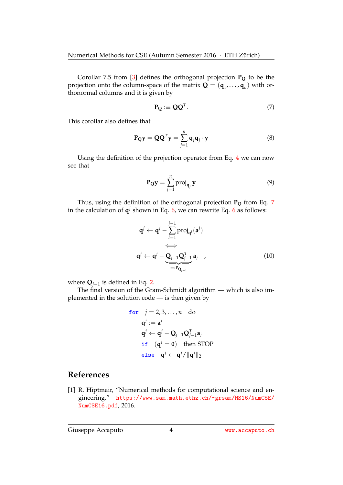Corollar 7.5 from [\[3\]](#page-4-1) defines the orthogonal projection **P<sup>Q</sup>** to be the projection onto the column-space of the matrix  $\mathbf{Q} = (\mathbf{q}_1, \dots, \mathbf{q}_n)$  with orthonormal columns and it is given by

<span id="page-3-1"></span>
$$
\mathbf{P}_{\mathbf{Q}} \equiv \mathbf{Q}\mathbf{Q}^T. \tag{7}
$$

This corollar also defines that

$$
\mathbf{P}_{\mathbf{Q}}\mathbf{y} = \mathbf{Q}\mathbf{Q}^T\mathbf{y} = \sum_{j=1}^n \mathbf{q}_j \mathbf{q}_j \cdot \mathbf{y}
$$
 (8)

Using the definition of the projection operator from Eq. [4](#page-2-1) we can now see that

$$
\mathbf{P}_{\mathbf{Q}}\mathbf{y} = \sum_{j=1}^{n} \text{proj}_{\mathbf{q}_j} \mathbf{y}
$$
 (9)

Thus, using the definition of the orthogonal projection **P<sup>Q</sup>** from Eq. [7](#page-3-1) in the calculation of  $q^j$  shown in Eq. [6,](#page-2-2) we can rewrite Eq. [6](#page-2-2) as follows:

$$
\mathbf{q}^{j} \leftarrow \mathbf{q}^{j} - \sum_{l=1}^{j-1} \text{proj}_{\mathbf{q}^{l}}(\mathbf{a}^{j})
$$
\n
$$
\iff
$$
\n
$$
\mathbf{q}^{j} \leftarrow \mathbf{q}^{j} - \underbrace{\mathbf{Q}_{j-1}\mathbf{Q}_{j-1}^{T}}_{=: \mathbf{P}_{\mathbf{Q}_{j-1}}} \mathbf{a}_{j} \quad , \tag{10}
$$

where **Q***j*−<sup>1</sup> is defined in Eq. [2.](#page-1-1)

The final version of the Gram-Schmidt algorithm — which is also implemented in the solution code — is then given by

for 
$$
j = 2, 3, ..., n
$$
 do  
\n $\mathbf{q}^j := \mathbf{a}^j$   
\n $\mathbf{q}^j \leftarrow \mathbf{q}^j - \mathbf{Q}_{j-1} \mathbf{Q}_{j-1}^T \mathbf{a}_j$   
\nif  $(\mathbf{q}^j = \mathbf{0})$  then STOP  
\nelse  $\mathbf{q}^j \leftarrow \mathbf{q}^j / \|\mathbf{q}^j\|_2$ 

#### **References**

<span id="page-3-0"></span>[1] R. Hiptmair, "Numerical methods for computational science and engineering." [https://www.sam.math.ethz.ch/~grsam/HS16/NumCSE/](https://www.sam.math.ethz.ch/~grsam/HS16/NumCSE/NumCSE16.pdf) [NumCSE16.pdf](https://www.sam.math.ethz.ch/~grsam/HS16/NumCSE/NumCSE16.pdf), 2016.

Giuseppe Accaputo 4 WWW.accaputo.ch